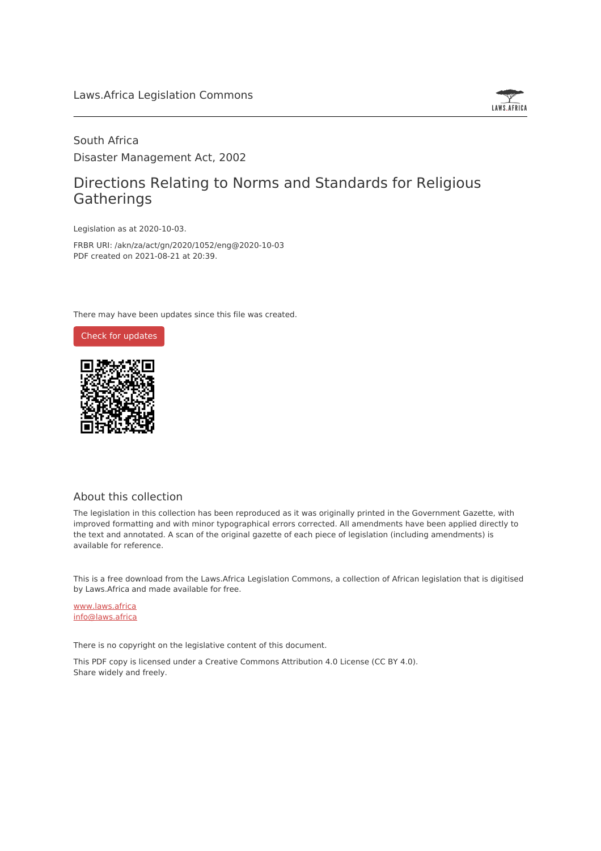

## South Africa Disaster Management Act, 2002

## Directions Relating to Norms and Standards for Religious Gatherings

Legislation as at 2020-10-03.

FRBR URI: /akn/za/act/gn/2020/1052/eng@2020-10-03 PDF created on 2021-08-21 at 20:39.

There may have been updates since this file was created.



#### About this collection

The legislation in this collection has been reproduced as it was originally printed in the Government Gazette, with improved formatting and with minor typographical errors corrected. All amendments have been applied directly to the text and annotated. A scan of the original gazette of each piece of legislation (including amendments) is available for reference.

This is a free download from the Laws.Africa Legislation Commons, a collection of African legislation that is digitised by Laws.Africa and made available for free.

[www.laws.africa](https://www.laws.africa) [info@laws.africa](mailto:info@laws.africa)

There is no copyright on the legislative content of this document.

This PDF copy is licensed under a Creative Commons Attribution 4.0 License (CC BY 4.0). Share widely and freely.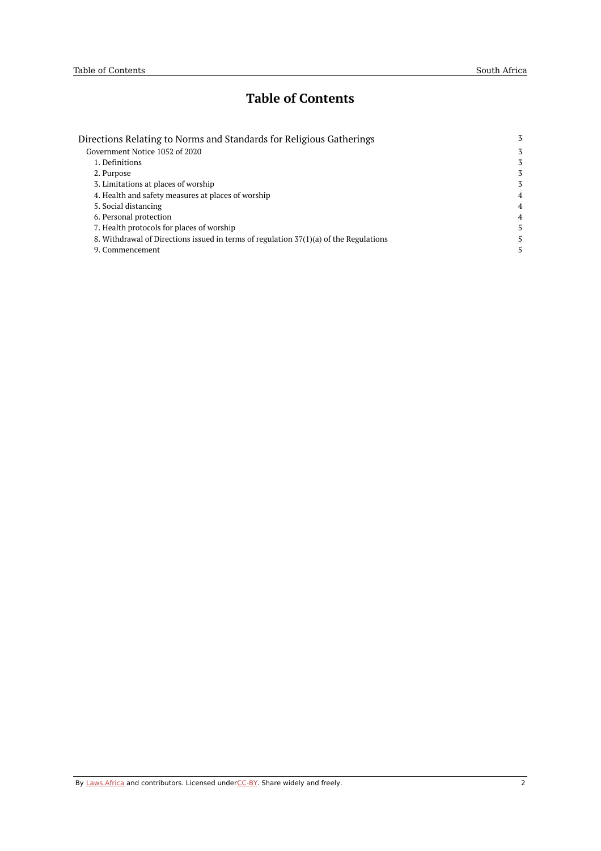## **Table of Contents**

| Directions Relating to Norms and Standards for Religious Gatherings                   | 3              |
|---------------------------------------------------------------------------------------|----------------|
| Government Notice 1052 of 2020                                                        | 3              |
| 1. Definitions                                                                        | 3              |
| 2. Purpose                                                                            | 3              |
| 3. Limitations at places of worship                                                   | 3              |
| 4. Health and safety measures at places of worship                                    | $\overline{4}$ |
| 5. Social distancing                                                                  | 4              |
| 6. Personal protection                                                                | 4              |
| 7. Health protocols for places of worship                                             | 5.             |
| 8. Withdrawal of Directions issued in terms of regulation 37(1)(a) of the Regulations | 5.             |
| 9. Commencement                                                                       |                |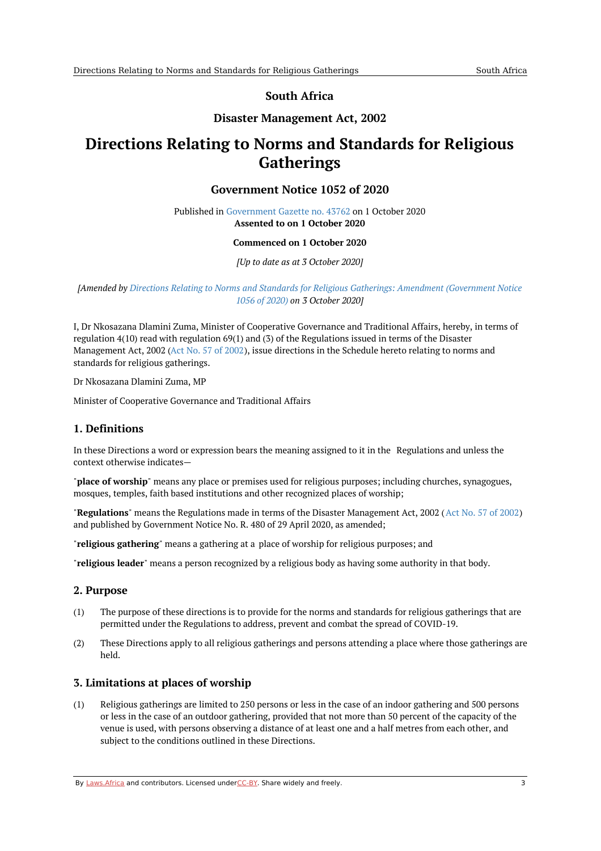## **South Africa**

## **Disaster Management Act, 2002**

# <span id="page-2-1"></span><span id="page-2-0"></span>**Directions Relating to Norms and Standards for Religious Gatherings**

### **Government Notice 1052 of 2020**

Published in [Government](https://commons.laws.africa/akn/za/act/gn/2020/1052/media/publication/za-act-gn-2020-1052-publication-document.pdf) Gazette no. 43762 on 1 October 2020 **Assented to on 1 October 2020**

#### **Commenced on 1 October 2020**

*[Up to date as at 3 October 2020]*

#### *[Amended by Directions Relating to Norms and Standards for Religious Gatherings: Amendment [\(Government](https://africanlii.org/akn/za/act/gn/2020/1056) Notice 1056 of 2020) on 3 October 2020]*

I, Dr Nkosazana Dlamini Zuma, Minister of Cooperative Governance and Traditional Affairs, hereby, in terms of regulation 4(10) read with regulation 69(1) and (3) of the Regulations issued in terms of the Disaster Management Act, 2002 (Act No. 57 of [2002\)](https://africanlii.org/akn/za/act/2002/57), issue directions in the Schedule hereto relating to norms and standards for religious gatherings.

Dr Nkosazana Dlamini Zuma, MP

Minister of Cooperative Governance and Traditional Affairs

### <span id="page-2-2"></span>**1. Definitions**

In these Directions a word or expression bears the meaning assigned to it in the Regulations and unless the context otherwise indicates—

"**place of worship**" means any place or premises used for religious purposes; including churches, synagogues, mosques, temples, faith based institutions and other recognized places of worship;

"**Regulations**" means the Regulations made in terms of the Disaster Management Act, 2002 (Act No. 57 of [2002](https://africanlii.org/akn/za/act/2002/57)) and published by Government Notice No. R. 480 of 29 April 2020, as amended;

"**religious gathering**" means a gathering at a place of worship for religious purposes; and

"**religious leader**" means a person recognized by a religious body as having some authority in that body.

#### <span id="page-2-3"></span>**2. Purpose**

- (1) The purpose of these directions is to provide for the norms and standards for religious gatherings that are permitted under the Regulations to address, prevent and combat the spread of COVID-19.
- (2) These Directions apply to all religious gatherings and persons attending a place where those gatherings are held.

#### <span id="page-2-4"></span>**3. Limitations at places of worship**

(1) Religious gatherings are limited to 250 persons or less in the case of an indoor gathering and 500 persons or less in the case of an outdoor gathering, provided that not more than 50 percent of the capacity of the venue is used, with persons observing a distance of at least one and a half metres from each other, and subject to the conditions outlined in these Directions.

By [Laws.Africa](https://edit.laws.africa/widgets/pdf-attribution) and contributors. Licensed und[erCC-B](https://edit.laws.africa/widgets/pdf-cc-by)Y. Share widely and freely. 3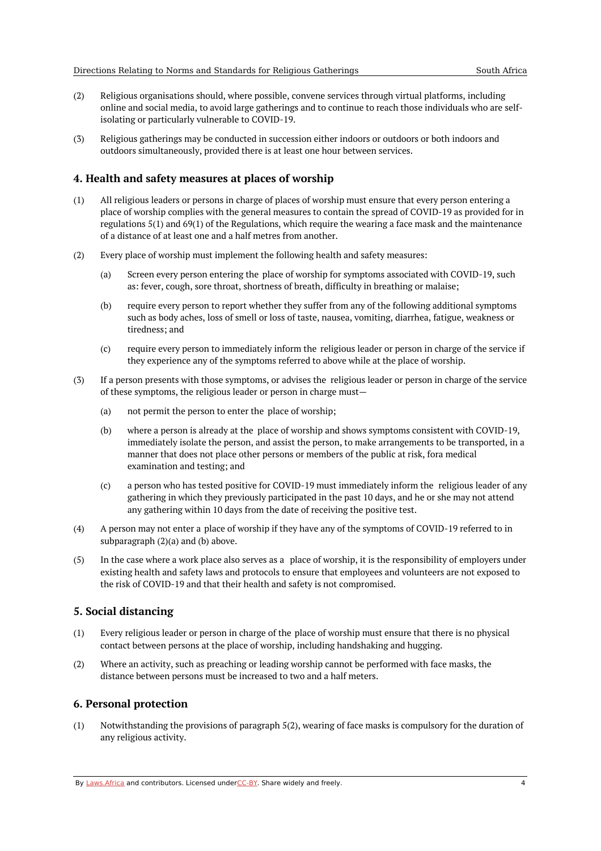- (2) Religious organisations should, where possible, convene services through virtual platforms, including online and social media, to avoid large gatherings and to continue to reach those individuals who are selfisolating or particularly vulnerable to COVID-19.
- (3) Religious gatherings may be conducted in succession either indoors or outdoors or both indoors and outdoors simultaneously, provided there is at least one hour between services.

#### <span id="page-3-0"></span>**4. Health and safety measures at places of worship**

- (1) All religious leaders or persons in charge of places of worship must ensure that every person entering a place of worship complies with the general measures to contain the spread of COVID-19 as provided for in regulations 5(1) and 69(1) of the Regulations, which require the wearing a face mask and the maintenance of a distance of at least one and a half metres from another.
- (2) Every place of worship must implement the following health and safety measures:
	- (a) Screen every person entering the place of worship for symptoms associated with COVID-19, such as: fever, cough, sore throat, shortness of breath, difficulty in breathing or malaise;
	- (b) require every person to report whether they suffer from any of the following additional symptoms such as body aches, loss of smell or loss of taste, nausea, vomiting, diarrhea, fatigue, weakness or tiredness; and
	- (c) require every person to immediately inform the religious leader or person in charge of the service if they experience any of the symptoms referred to above while at the place of worship.
- (3) If a person presents with those symptoms, or advises the religious leader or person in charge of the service of these symptoms, the religious leader or person in charge must—
	- (a) not permit the person to enter the place of worship;
	- (b) where a person is already at the place of worship and shows symptoms consistent with COVID-19, immediately isolate the person, and assist the person, to make arrangements to be transported, in a manner that does not place other persons or members of the public at risk, fora medical examination and testing; and
	- (c) a person who has tested positive for COVID-19 must immediately inform the religious leader of any gathering in which they previously participated in the past 10 days, and he or she may not attend any gathering within 10 days from the date of receiving the positive test.
- (4) A person may not enter a place of worship if they have any of the symptoms of COVID-19 referred to in subparagraph (2)(a) and (b) above.
- (5) In the case where a work place also serves as a place of worship, it is the responsibility of employers under existing health and safety laws and protocols to ensure that employees and volunteers are not exposed to the risk of COVID-19 and that their health and safety is not compromised.

#### <span id="page-3-1"></span>**5. Social distancing**

- (1) Every religious leader or person in charge of the place of worship must ensure that there is no physical contact between persons at the place of worship, including handshaking and hugging.
- (2) Where an activity, such as preaching or leading worship cannot be performed with face masks, the distance between persons must be increased to two and a half meters.

### <span id="page-3-2"></span>**6. Personal protection**

(1) Notwithstanding the provisions of paragraph 5(2), wearing of face masks is compulsory for the duration of any religious activity.

By [Laws.Africa](https://edit.laws.africa/widgets/pdf-attribution) and contributors. Licensed und[erCC-B](https://edit.laws.africa/widgets/pdf-cc-by)Y. Share widely and freely. 4